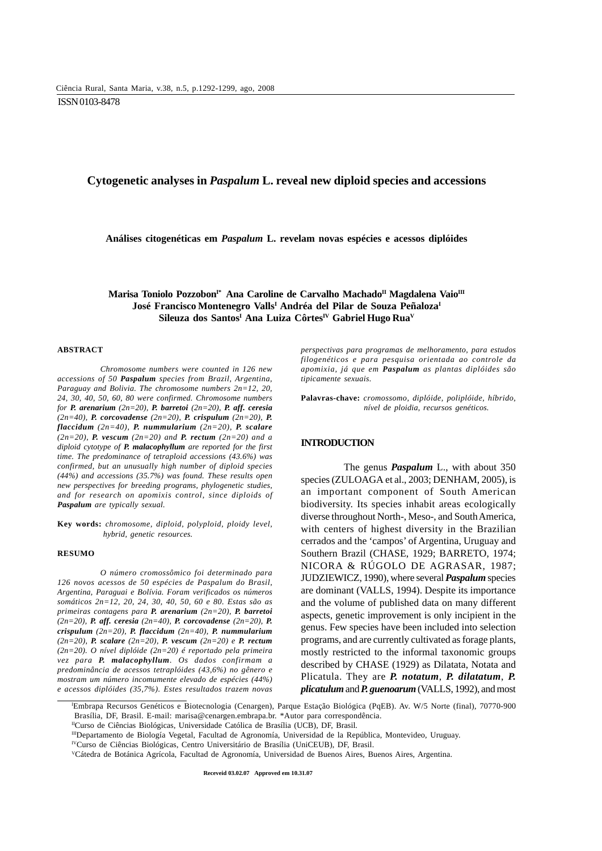# **Cytogenetic analyses in** *Paspalum* **L. reveal new diploid species and accessions**

**Análises citogenéticas em** *Paspalum* **L. revelam novas espécies e acessos diplóides**

Marisa Toniolo Pozzobon<sup>i\*</sup> Ana Caroline de Carvalho Machado<sup>II</sup> Magdalena Vaio<sup>III</sup> **José Francisco Montenegro VallsI Andréa del Pilar de Souza PeñalozaI** Sileuza dos Santos<sup>I</sup> Ana Luiza Côrtes<sup>IV</sup> Gabriel Hugo Rua<sup>V</sup>

#### **ABSTRACT**

*Chromosome numbers were counted in 126 new accessions of 50 Paspalum species from Brazil, Argentina, Paraguay and Bolivia. The chromosome numbers 2n=12, 20, 24, 30, 40, 50, 60, 80 were confirmed. Chromosome numbers for P. arenarium (2n=20), P. barretoi (2n=20), P. aff. ceresia (2n=40), P. corcovadense (2n=20), P. crispulum (2n=20), P. flaccidum (2n=40), P. nummularium (2n=20), P. scalare (2n=20), P. vescum (2n=20) and P. rectum (2n=20) and a diploid cytotype of P. malacophyllum are reported for the first time. The predominance of tetraploid accessions (43.6%) was confirmed, but an unusually high number of diploid species (44%) and accessions (35.7%) was found. These results open new perspectives for breeding programs, phylogenetic studies, and for research on apomixis control, since diploids of Paspalum are typically sexual.*

**Key words:** *chromosome, diploid, polyploid, ploidy level, hybrid, genetic resources.*

#### **RESUMO**

*O número cromossômico foi determinado para 126 novos acessos de 50 espécies de Paspalum do Brasil, Argentina, Paraguai e Bolívia. Foram verificados os números somáticos 2n=12, 20, 24, 30, 40, 50, 60 e 80. Estas são as primeiras contagens para P. arenarium (2n=20), P. barretoi (2n=20), P. aff. ceresia (2n=40), P. corcovadense (2n=20), P. crispulum (2n=20), P. flaccidum (2n=40), P. nummularium (2n=20), P. scalare (2n=20), P. vescum (2n=20) e P. rectum (2n=20). O nível diplóide (2n=20) é reportado pela primeira vez para P. malacophyllum. Os dados confirmam a predominância de acessos tetraplóides (43,6%) no gênero e mostram um número incomumente elevado de espécies (44%) e acessos diplóides (35,7%). Estes resultados trazem novas*

*perspectivas para programas de melhoramento, para estudos filogenéticos e para pesquisa orientada ao controle da apomixia, já que em Paspalum as plantas diplóides são tipicamente sexuais.*

**Palavras-chave:** *cromossomo, diplóide, poliplóide, híbrido, nível de ploidia, recursos genéticos.*

# **INTRODUCTION**

The genus *Paspalum* L., with about 350 species (ZULOAGA et al., 2003; DENHAM, 2005), is an important component of South American biodiversity. Its species inhabit areas ecologically diverse throughout North-, Meso-, and South America, with centers of highest diversity in the Brazilian cerrados and the 'campos' of Argentina, Uruguay and Southern Brazil (CHASE, 1929; BARRETO, 1974; NICORA & RÚGOLO DE AGRASAR, 1987; JUDZIEWICZ, 1990), where several *Paspalum* species are dominant (VALLS, 1994). Despite its importance and the volume of published data on many different aspects, genetic improvement is only incipient in the genus. Few species have been included into selection programs, and are currently cultivated as forage plants, mostly restricted to the informal taxonomic groups described by CHASE (1929) as Dilatata, Notata and Plicatula. They are *P. notatum*, *P. dilatatum*, *P. plicatulum* and *P. guenoarum* (VALLS, 1992), and most

I Embrapa Recursos Genéticos e Biotecnologia (Cenargen), Parque Estação Biológica (PqEB). Av. W/5 Norte (final), 70770-900 Brasília, DF, Brasil. E-mail: marisa@cenargen.embrapa.br. \*Autor para correspondência.

IICurso de Ciências Biológicas, Universidade Católica de Brasília (UCB), DF, Brasil.

IIIDepartamento de Biología Vegetal, Facultad de Agronomía, Universidad de la República, Montevideo, Uruguay.

IVCurso de Ciências Biológicas, Centro Universitário de Brasília (UniCEUB), DF, Brasil.

VCátedra de Botánica Agrícola, Facultad de Agronomía, Universidad de Buenos Aires, Buenos Aires, Argentina.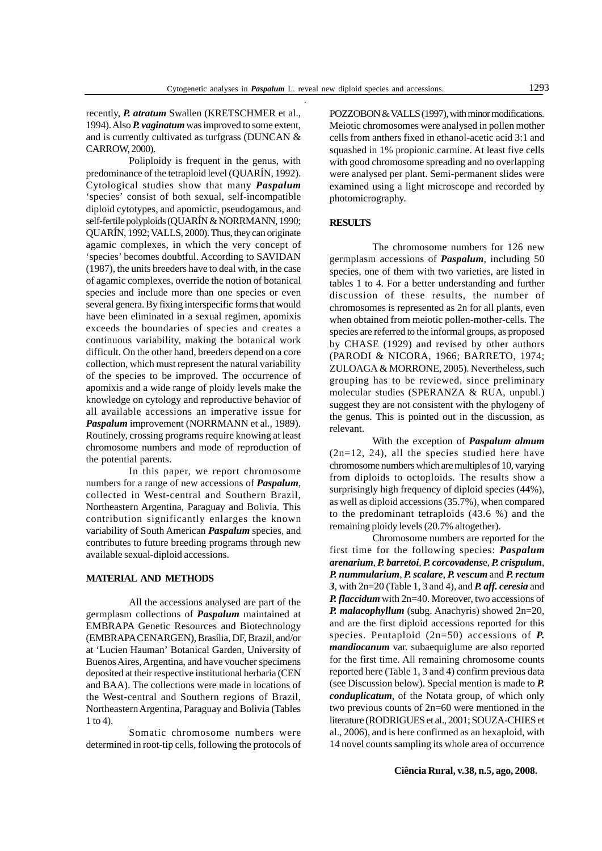recently, *P. atratum* Swallen (KRETSCHMER et al., 1994). Also *P. vaginatum* was improved to some extent, and is currently cultivated as turfgrass (DUNCAN & CARROW, 2000).

Poliploidy is frequent in the genus, with predominance of the tetraploid level (QUARÍN, 1992). Cytological studies show that many *Paspalum* 'species' consist of both sexual, self-incompatible diploid cytotypes, and apomictic, pseudogamous, and self-fertile polyploids (QUARÍN & NORRMANN, 1990; QUARÍN, 1992; VALLS, 2000). Thus, they can originate agamic complexes, in which the very concept of 'species' becomes doubtful. According to SAVIDAN (1987), the units breeders have to deal with, in the case of agamic complexes, override the notion of botanical species and include more than one species or even several genera. By fixing interspecific forms that would have been eliminated in a sexual regimen, apomixis exceeds the boundaries of species and creates a continuous variability, making the botanical work difficult. On the other hand, breeders depend on a core collection, which must represent the natural variability of the species to be improved. The occurrence of apomixis and a wide range of ploidy levels make the knowledge on cytology and reproductive behavior of all available accessions an imperative issue for *Paspalum* improvement (NORRMANN et al*.*, 1989). Routinely, crossing programs require knowing at least chromosome numbers and mode of reproduction of the potential parents.

In this paper, we report chromosome numbers for a range of new accessions of *Paspalum*, collected in West-central and Southern Brazil, Northeastern Argentina, Paraguay and Bolivia. This contribution significantly enlarges the known variability of South American *Paspalum* species, and contributes to future breeding programs through new available sexual-diploid accessions.

### **MATERIAL AND METHODS**

All the accessions analysed are part of the germplasm collections of *Paspalum* maintained at EMBRAPA Genetic Resources and Biotechnology (EMBRAPA CENARGEN), Brasília, DF, Brazil, and/or at 'Lucien Hauman' Botanical Garden, University of Buenos Aires, Argentina, and have voucher specimens deposited at their respective institutional herbaria (CEN and BAA). The collections were made in locations of the West-central and Southern regions of Brazil, Northeastern Argentina, Paraguay and Bolivia (Tables 1 to 4).

Somatic chromosome numbers were determined in root-tip cells, following the protocols of POZZOBON & VALLS (1997), with minor modifications. Meiotic chromosomes were analysed in pollen mother cells from anthers fixed in ethanol-acetic acid 3:1 and squashed in 1% propionic carmine. At least five cells with good chromosome spreading and no overlapping were analysed per plant. Semi-permanent slides were examined using a light microscope and recorded by photomicrography.

# **RESULTS**

The chromosome numbers for 126 new germplasm accessions of *Paspalum*, including 50 species, one of them with two varieties, are listed in tables 1 to 4. For a better understanding and further discussion of these results, the number of chromosomes is represented as 2n for all plants, even when obtained from meiotic pollen-mother-cells. The species are referred to the informal groups, as proposed by CHASE (1929) and revised by other authors (PARODI & NICORA, 1966; BARRETO, 1974; ZULOAGA & MORRONE, 2005). Nevertheless, such grouping has to be reviewed, since preliminary molecular studies (SPERANZA & RUA, unpubl.) suggest they are not consistent with the phylogeny of the genus. This is pointed out in the discussion, as relevant.

With the exception of *Paspalum almum* (2n=12, 24), all the species studied here have chromosome numbers which are multiples of 10, varying from diploids to octoploids. The results show a surprisingly high frequency of diploid species (44%), as well as diploid accessions (35.7%), when compared to the predominant tetraploids (43.6 %) and the remaining ploidy levels (20.7% altogether).

Chromosome numbers are reported for the first time for the following species: *Paspalum arenarium*, *P. barretoi*, *P. corcovadens*e, *P. crispulum*, *P. nummularium*, *P. scalare*, *P. vescum* and *P. rectum 3*, with 2n=20 (Table 1, 3 and 4), and *P. aff. ceresia* and *P. flaccidum* with 2n=40. Moreover, two accessions of *P. malacophyllum* (subg. Anachyris) showed 2n=20, and are the first diploid accessions reported for this species. Pentaploid (2n=50) accessions of *P. mandiocanum* var. subaequiglume are also reported for the first time. All remaining chromosome counts reported here (Table 1, 3 and 4) confirm previous data (see Discussion below). Special mention is made to *P. conduplicatum*, of the Notata group, of which only two previous counts of 2n=60 were mentioned in the literature (RODRIGUES et al., 2001; SOUZA-CHIES et al., 2006), and is here confirmed as an hexaploid, with 14 novel counts sampling its whole area of occurrence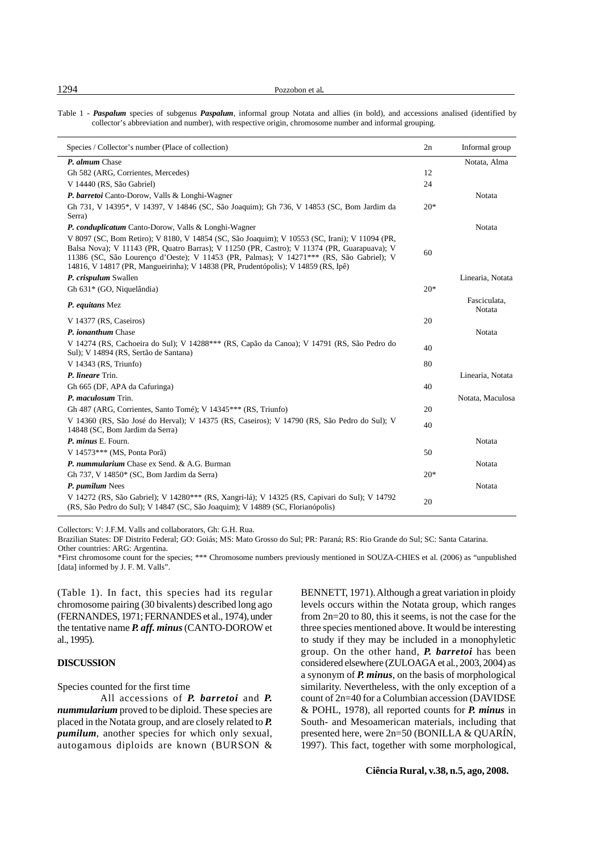1294 Pozzobon et al*.*

Table 1 - *Paspalum* species of subgenus *Paspalum*, informal group Notata and allies (in bold), and accessions analised (identified by collector's abbreviation and number), with respective origin, chromosome number and informal grouping.

| Species / Collector's number (Place of collection)                                                                                                                                                                                                                                                                                                                           | 2n    | Informal group         |
|------------------------------------------------------------------------------------------------------------------------------------------------------------------------------------------------------------------------------------------------------------------------------------------------------------------------------------------------------------------------------|-------|------------------------|
| P. almum Chase                                                                                                                                                                                                                                                                                                                                                               |       | Notata, Alma           |
| Gh 582 (ARG, Corrientes, Mercedes)                                                                                                                                                                                                                                                                                                                                           | 12    |                        |
| V 14440 (RS, São Gabriel)                                                                                                                                                                                                                                                                                                                                                    | 24    |                        |
| P. barretoi Canto-Dorow, Valls & Longhi-Wagner                                                                                                                                                                                                                                                                                                                               |       | Notata                 |
| Gh 731, V 14395*, V 14397, V 14846 (SC, São Joaquim); Gh 736, V 14853 (SC, Bom Jardim da<br>Serra)                                                                                                                                                                                                                                                                           | $20*$ |                        |
| P. conduplicatum Canto-Dorow, Valls & Longhi-Wagner                                                                                                                                                                                                                                                                                                                          |       | Notata                 |
| V 8097 (SC, Bom Retiro); V 8180, V 14854 (SC, São Joaquim); V 10553 (SC, Irani); V 11094 (PR,<br>Balsa Nova); V 11143 (PR, Quatro Barras); V 11250 (PR, Castro); V 11374 (PR, Guarapuava); V<br>11386 (SC, São Lourenço d'Oeste); V 11453 (PR, Palmas); V 14271*** (RS, São Gabriel); V<br>14816, V 14817 (PR, Mangueirinha); V 14838 (PR, Prudentópolis); V 14859 (RS, Ipê) | 60    |                        |
| P. crispulum Swallen                                                                                                                                                                                                                                                                                                                                                         |       | Linearia, Notata       |
| Gh 631* (GO, Niquelândia)                                                                                                                                                                                                                                                                                                                                                    | $20*$ |                        |
| P. equitans Mez                                                                                                                                                                                                                                                                                                                                                              |       | Fasciculata,<br>Notata |
| V 14377 (RS, Caseiros)                                                                                                                                                                                                                                                                                                                                                       | 20    |                        |
| P. <i>ionanthum</i> Chase                                                                                                                                                                                                                                                                                                                                                    |       | Notata                 |
| V 14274 (RS, Cachoeira do Sul); V 14288*** (RS, Capão da Canoa); V 14791 (RS, São Pedro do<br>Sul); V 14894 (RS, Sertão de Santana)                                                                                                                                                                                                                                          | 40    |                        |
| V 14343 (RS, Triunfo)                                                                                                                                                                                                                                                                                                                                                        | 80    |                        |
| P. lineare Trin.                                                                                                                                                                                                                                                                                                                                                             |       | Linearia, Notata       |
| Gh 665 (DF, APA da Cafuringa)                                                                                                                                                                                                                                                                                                                                                | 40    |                        |
| P. maculosum Trin.                                                                                                                                                                                                                                                                                                                                                           |       | Notata, Maculosa       |
| Gh 487 (ARG, Corrientes, Santo Tomé); V 14345*** (RS, Triunfo)                                                                                                                                                                                                                                                                                                               | 20    |                        |
| V 14360 (RS, São José do Herval); V 14375 (RS, Caseiros); V 14790 (RS, São Pedro do Sul); V<br>14848 (SC, Bom Jardim da Serra)                                                                                                                                                                                                                                               | 40    |                        |
| P. minus E. Fourn.                                                                                                                                                                                                                                                                                                                                                           |       | Notata                 |
| V 14573*** (MS, Ponta Porã)                                                                                                                                                                                                                                                                                                                                                  | 50    |                        |
| P. nummularium Chase ex Send. & A.G. Burman                                                                                                                                                                                                                                                                                                                                  |       | Notata                 |
| Gh 737, V 14850* (SC, Bom Jardim da Serra)                                                                                                                                                                                                                                                                                                                                   | $20*$ |                        |
| P. pumilum Nees                                                                                                                                                                                                                                                                                                                                                              |       | Notata                 |
| V 14272 (RS, São Gabriel); V 14280*** (RS, Xangri-lá); V 14325 (RS, Capivari do Sul); V 14792<br>(RS, São Pedro do Sul); V 14847 (SC, São Joaquim); V 14889 (SC, Florianópolis)                                                                                                                                                                                              | 20    |                        |

Collectors: V: J.F.M. Valls and collaborators, Gh: G.H. Rua.

Brazilian States: DF Distrito Federal; GO: Goiás; MS: Mato Grosso do Sul; PR: Paraná; RS: Rio Grande do Sul; SC: Santa Catarina.

Other countries: ARG: Argentina.

\*First chromosome count for the species; \*\*\* Chromosome numbers previously mentioned in SOUZA-CHIES et al. (2006) as "unpublished [data] informed by J. F. M. Valls".

(Table 1). In fact, this species had its regular chromosome pairing (30 bivalents) described long ago (FERNANDES, 1971; FERNANDES et al., 1974), under the tentative name *P. aff. minus* (CANTO-DOROW et al., 1995).

## **DISCUSSION**

Species counted for the first time

All accessions of *P. barretoi* and *P. nummularium* proved to be diploid. These species are placed in the Notata group, and are closely related to *P. pumilum*, another species for which only sexual, autogamous diploids are known (BURSON & BENNETT, 1971). Although a great variation in ploidy levels occurs within the Notata group, which ranges from 2n=20 to 80, this it seems, is not the case for the three species mentioned above. It would be interesting to study if they may be included in a monophyletic group. On the other hand, *P. barretoi* has been considered elsewhere (ZULOAGA et al*.*, 2003, 2004) as a synonym of *P. minus*, on the basis of morphological similarity. Nevertheless, with the only exception of a count of 2n=40 for a Columbian accession (DAVIDSE & POHL, 1978), all reported counts for *P. minus* in South- and Mesoamerican materials, including that presented here, were 2n=50 (BONILLA & QUARÍN, 1997). This fact, together with some morphological,

**Ciência Rural, v.38, n.5, ago, 2008.**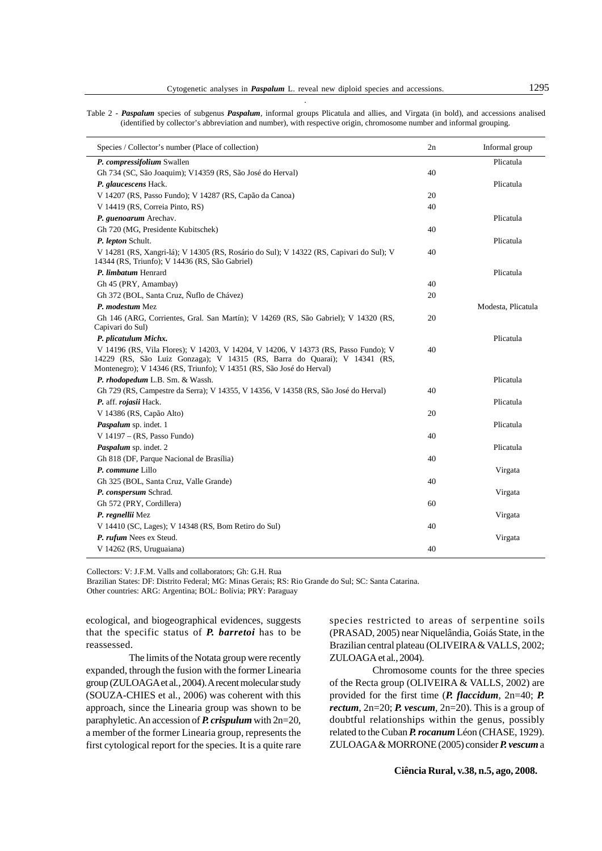| Species / Collector's number (Place of collection)                                                                                                              | 2n | Informal group     |
|-----------------------------------------------------------------------------------------------------------------------------------------------------------------|----|--------------------|
| P. compressifolium Swallen                                                                                                                                      |    | Plicatula          |
| Gh 734 (SC, São Joaquim); V14359 (RS, São José do Herval)                                                                                                       | 40 |                    |
| P. glaucescens Hack.                                                                                                                                            |    | Plicatula          |
| V 14207 (RS, Passo Fundo); V 14287 (RS, Capão da Canoa)                                                                                                         | 20 |                    |
| V 14419 (RS, Correia Pinto, RS)                                                                                                                                 | 40 |                    |
| P. guenoarum Arechav.                                                                                                                                           |    | Plicatula          |
| Gh 720 (MG, Presidente Kubitschek)                                                                                                                              | 40 |                    |
| P. lepton Schult.                                                                                                                                               |    | Plicatula          |
| V 14281 (RS, Xangri-lá); V 14305 (RS, Rosário do Sul); V 14322 (RS, Capivari do Sul); V<br>14344 (RS, Triunfo); V 14436 (RS, São Gabriel)                       | 40 |                    |
| P. limbatum Henrard                                                                                                                                             |    | Plicatula          |
| Gh 45 (PRY, Amambay)                                                                                                                                            | 40 |                    |
| Gh 372 (BOL, Santa Cruz, Ñuflo de Chávez)                                                                                                                       | 20 |                    |
| P. modestum Mez                                                                                                                                                 |    | Modesta, Plicatula |
| Gh 146 (ARG, Corrientes, Gral. San Martín); V 14269 (RS, São Gabriel); V 14320 (RS,                                                                             | 20 |                    |
| Capivari do Sul)                                                                                                                                                |    |                    |
| P. plicatulum Michx.                                                                                                                                            |    | Plicatula          |
| V 14196 (RS, Vila Flores); V 14203, V 14204, V 14206, V 14373 (RS, Passo Fundo); V<br>14229 (RS, São Luiz Gonzaga); V 14315 (RS, Barra do Quarai); V 14341 (RS, | 40 |                    |
| Montenegro); V 14346 (RS, Triunfo); V 14351 (RS, São José do Herval)                                                                                            |    | Plicatula          |
| P. rhodopedum L.B. Sm. & Wassh.<br>Gh 729 (RS, Campestre da Serra); V 14355, V 14356, V 14358 (RS, São José do Herval)                                          | 40 |                    |
|                                                                                                                                                                 |    | Plicatula          |
| P. aff. rojasii Hack.                                                                                                                                           |    |                    |
| V 14386 (RS, Capão Alto)<br>Paspalum sp. indet. 1                                                                                                               | 20 | Plicatula          |
| V $14197 - (RS, Passo Fundo)$                                                                                                                                   | 40 |                    |
| Paspalum sp. indet. 2                                                                                                                                           |    | Plicatula          |
| Gh 818 (DF, Parque Nacional de Brasília)                                                                                                                        | 40 |                    |
| P. commune Lillo                                                                                                                                                |    |                    |
| Gh 325 (BOL, Santa Cruz, Valle Grande)                                                                                                                          | 40 | Virgata            |
| P. conspersum Schrad.                                                                                                                                           |    | Virgata            |
| Gh 572 (PRY, Cordillera)                                                                                                                                        | 60 |                    |
| P. regnellii Mez                                                                                                                                                |    | Virgata            |
| V 14410 (SC, Lages); V 14348 (RS, Bom Retiro do Sul)                                                                                                            | 40 |                    |
| P. rufum Nees ex Steud.                                                                                                                                         |    | Virgata            |
| V 14262 (RS, Uruguaiana)                                                                                                                                        | 40 |                    |
|                                                                                                                                                                 |    |                    |

Collectors: V: J.F.M. Valls and collaborators; Gh: G.H. Rua

Brazilian States: DF: Distrito Federal; MG: Minas Gerais; RS: Rio Grande do Sul; SC: Santa Catarina.

Other countries: ARG: Argentina; BOL: Bolívia; PRY: Paraguay

ecological, and biogeographical evidences, suggests that the specific status of *P. barretoi* has to be reassessed.

The limits of the Notata group were recently expanded, through the fusion with the former Linearia group (ZULOAGA et al*.*, 2004). A recent molecular study (SOUZA-CHIES et al*.*, 2006) was coherent with this approach, since the Linearia group was shown to be paraphyletic. An accession of *P. crispulum* with 2n=20, a member of the former Linearia group, represents the first cytological report for the species. It is a quite rare

species restricted to areas of serpentine soils (PRASAD, 2005) near Niquelândia, Goiás State, in the Brazilian central plateau (OLIVEIRA & VALLS, 2002; ZULOAGA et al*.*, 2004).

Chromosome counts for the three species of the Recta group (OLIVEIRA & VALLS, 2002) are provided for the first time (*P. flaccidum*, 2n=40; *P. rectum*, 2n=20; *P. vescum*, 2n=20). This is a group of doubtful relationships within the genus, possibly related to the Cuban *P. rocanum* Léon (CHASE, 1929). ZULOAGA & MORRONE (2005) consider *P. vescum* a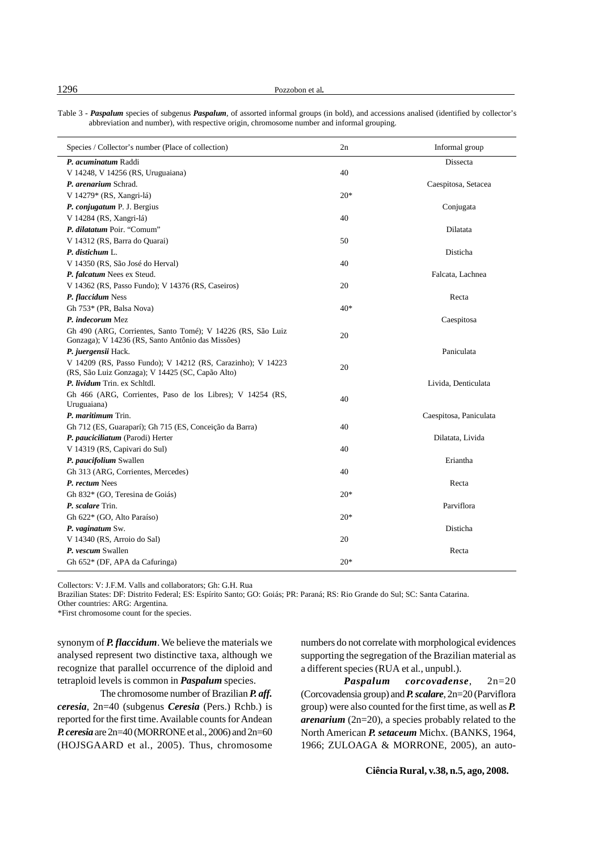Table 3 - *Paspalum* species of subgenus *Paspalum*, of assorted informal groups (in bold), and accessions analised (identified by collector's abbreviation and number), with respective origin, chromosome number and informal grouping.

| Species / Collector's number (Place of collection)           | 2n    | Informal group         |
|--------------------------------------------------------------|-------|------------------------|
| P. acuminatum Raddi                                          |       | Dissecta               |
| V 14248, V 14256 (RS, Uruguaiana)                            | 40    |                        |
| P. arenarium Schrad.                                         |       | Caespitosa, Setacea    |
| V 14279* (RS, Xangri-lá)                                     | $20*$ |                        |
| P. conjugatum P. J. Bergius                                  |       | Conjugata              |
| V 14284 (RS, Xangri-lá)                                      | 40    |                        |
| P. dilatatum Poir. "Comum"                                   |       | Dilatata               |
| V 14312 (RS, Barra do Quarai)                                | 50    |                        |
| P. distichum L.                                              |       | Disticha               |
| V 14350 (RS, São José do Herval)                             | 40    |                        |
| P. falcatum Nees ex Steud.                                   |       | Falcata, Lachnea       |
| V 14362 (RS, Passo Fundo); V 14376 (RS, Caseiros)            | 20    |                        |
| P. flaccidum Ness                                            |       | Recta                  |
| Gh 753* (PR, Balsa Nova)                                     | $40*$ |                        |
| P. indecorum Mez                                             |       | Caespitosa             |
| Gh 490 (ARG, Corrientes, Santo Tomé); V 14226 (RS, São Luiz  | 20    |                        |
| Gonzaga); V 14236 (RS, Santo Antônio das Missões)            |       |                        |
| P. juergensii Hack.                                          |       | Paniculata             |
| V 14209 (RS, Passo Fundo); V 14212 (RS, Carazinho); V 14223  | 20    |                        |
| (RS, São Luiz Gonzaga); V 14425 (SC, Capão Alto)             |       |                        |
| P. lividum Trin. ex Schltdl.                                 |       | Livida, Denticulata    |
| Gh 466 (ARG, Corrientes, Paso de los Libres); V 14254 (RS,   | 40    |                        |
| Uruguaiana)                                                  |       |                        |
| P. maritimum Trin.                                           |       | Caespitosa, Paniculata |
| Gh 712 (ES, Guaraparí); Gh 715 (ES, Conceição da Barra)      | 40    | Dilatata, Livida       |
| P. pauciciliatum (Parodi) Herter                             | 40    |                        |
| V 14319 (RS, Capivari do Sul)                                |       | Eriantha               |
| P. paucifolium Swallen<br>Gh 313 (ARG, Corrientes, Mercedes) | 40    |                        |
| P. rectum Nees                                               |       | Recta                  |
| Gh 832* (GO, Teresina de Goiás)                              | $20*$ |                        |
|                                                              |       | Parviflora             |
| P. scalare Trin.                                             |       |                        |
| Gh 622* (GO, Alto Paraíso)                                   | $20*$ |                        |
| P. vaginatum Sw.<br>V 14340 (RS, Arroio do Sal)              | 20    | Disticha               |
|                                                              |       |                        |
| P. vescum Swallen                                            |       | Recta                  |
| Gh 652* (DF, APA da Cafuringa)                               | $20*$ |                        |

Collectors: V: J.F.M. Valls and collaborators; Gh: G.H. Rua

Brazilian States: DF: Distrito Federal; ES: Espírito Santo; GO: Goiás; PR: Paraná; RS: Rio Grande do Sul; SC: Santa Catarina.

Other countries: ARG: Argentina.

\*First chromosome count for the species.

synonym of *P. flaccidum*. We believe the materials we analysed represent two distinctive taxa, although we recognize that parallel occurrence of the diploid and tetraploid levels is common in *Paspalum* species.

The chromosome number of Brazilian *P. aff. ceresia*, 2n=40 (subgenus *Ceresia* (Pers.) Rchb.) is reported for the first time. Available counts for Andean *P. ceresia* are 2n=40 (MORRONE et al., 2006) and 2n=60 (HOJSGAARD et al*.*, 2005). Thus, chromosome

numbers do not correlate with morphological evidences supporting the segregation of the Brazilian material as a different species (RUA et al*.*, unpubl.).

*Paspalum corcovadense*, 2n=20 (Corcovadensia group) and *P. scalare*, 2n=20 (Parviflora group) were also counted for the first time, as well as *P. arenarium* (2n=20), a species probably related to the North American *P. setaceum* Michx. (BANKS, 1964, 1966; ZULOAGA & MORRONE, 2005), an auto-

**Ciência Rural, v.38, n.5, ago, 2008.**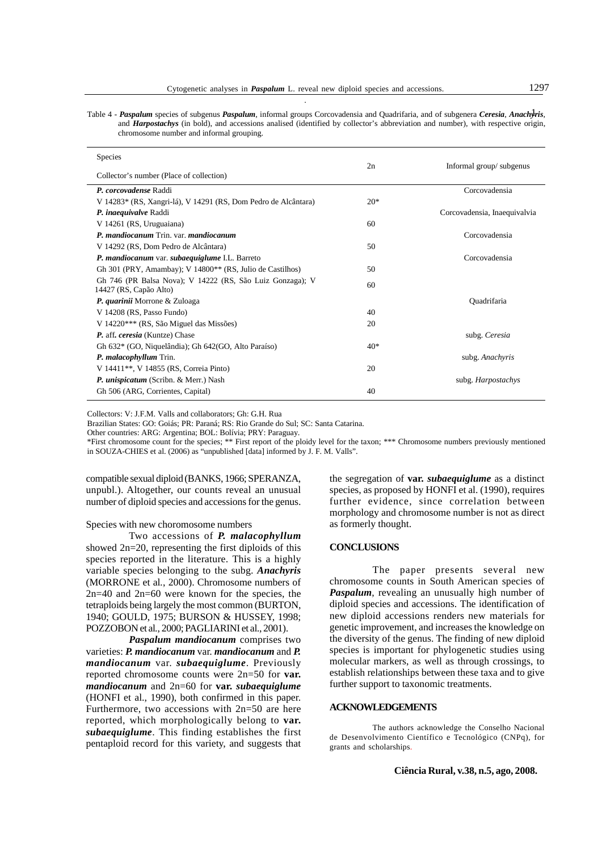Table 4 - *Paspalum* species of subgenus *Paspalum*, informal groups Corcovadensia and Quadrifaria, and of subgenera *Ceresia*, *Anach*1*yris*, and *Harpostachys* (in bold), and accessions analised (identified by collector's abbreviation and number), with respective origin, chromosome number and informal grouping.

| <b>Species</b>                                                                      | 2n    | Informal group/subgenus      |
|-------------------------------------------------------------------------------------|-------|------------------------------|
| Collector's number (Place of collection)                                            |       |                              |
| P. corcovadense Raddi                                                               |       | Corcovadensia                |
| V 14283* (RS, Xangri-lá), V 14291 (RS, Dom Pedro de Alcântara)                      | $20*$ |                              |
| P. inaequivalve Raddi                                                               |       | Corcovadensia, Inaequivalvia |
| V 14261 (RS, Uruguaiana)                                                            | 60    |                              |
| P. mandiocanum Trin. var. mandiocanum                                               |       | Corcovadensia                |
| V 14292 (RS, Dom Pedro de Alcântara)                                                | 50    |                              |
| P. mandiocanum var. subaequiglume I.L. Barreto                                      |       | Corcovadensia                |
| Gh 301 (PRY, Amambay); V 14800** (RS, Julio de Castilhos)                           | 50    |                              |
| Gh 746 (PR Balsa Nova); V 14222 (RS, São Luiz Gonzaga); V<br>14427 (RS, Capão Alto) | 60    |                              |
| P. quarinii Morrone & Zuloaga                                                       |       | <b>Ouadrifaria</b>           |
| V 14208 (RS, Passo Fundo)                                                           | 40    |                              |
| V 14220 <sup>***</sup> (RS, São Miguel das Missões)                                 | 20    |                              |
| P. aff. ceresia (Kuntze) Chase                                                      |       | subg. Ceresia                |
| Gh 632* (GO, Niquelândia); Gh 642(GO, Alto Paraíso)                                 | $40*$ |                              |
| P. malacophyllum Trin.                                                              |       | subg. Anachyris              |
| V 14411 <sup>**</sup> , V 14855 (RS, Correia Pinto)                                 | 20    |                              |
| <i>P. unispicatum</i> (Scribn. & Merr.) Nash                                        |       | subg. Harpostachys           |
| Gh 506 (ARG, Corrientes, Capital)                                                   | 40    |                              |
|                                                                                     |       |                              |

Collectors: V: J.F.M. Valls and collaborators; Gh: G.H. Rua

Brazilian States: GO: Goiás; PR: Paraná; RS: Rio Grande do Sul; SC: Santa Catarina.

Other countries: ARG: Argentina; BOL: Bolívia; PRY: Paraguay.

\*First chromosome count for the species; \*\* First report of the ploidy level for the taxon; \*\*\* Chromosome numbers previously mentioned in SOUZA-CHIES et al. (2006) as "unpublished [data] informed by J. F. M. Valls".

compatible sexual diploid (BANKS, 1966; SPERANZA, unpubl.). Altogether, our counts reveal an unusual number of diploid species and accessions for the genus.

## Species with new choromosome numbers

Two accessions of *P. malacophyllum* showed 2n=20, representing the first diploids of this species reported in the literature. This is a highly variable species belonging to the subg. *Anachyris* (MORRONE et al*.*, 2000). Chromosome numbers of 2n=40 and 2n=60 were known for the species, the tetraploids being largely the most common (BURTON, 1940; GOULD, 1975; BURSON & HUSSEY, 1998; POZZOBON et al*.*, 2000; PAGLIARINI et al*.*, 2001).

*Paspalum mandiocanum* comprises two varieties: *P. mandiocanum* var. *mandiocanum* and *P. mandiocanum* var. *subaequiglume*. Previously reported chromosome counts were 2n=50 for **var.** *mandiocanum* and 2n=60 for **var.** *subaequiglume* (HONFI et al., 1990), both confirmed in this paper. Furthermore, two accessions with  $2n=50$  are here reported, which morphologically belong to **var.** *subaequiglume*. This finding establishes the first pentaploid record for this variety, and suggests that

the segregation of **var.** *subaequiglume* as a distinct species, as proposed by HONFI et al. (1990), requires further evidence, since correlation between morphology and chromosome number is not as direct as formerly thought.

# **CONCLUSIONS**

The paper presents several new chromosome counts in South American species of *Paspalum*, revealing an unusually high number of diploid species and accessions. The identification of new diploid accessions renders new materials for genetic improvement, and increases the knowledge on the diversity of the genus. The finding of new diploid species is important for phylogenetic studies using molecular markers, as well as through crossings, to establish relationships between these taxa and to give further support to taxonomic treatments.

## **ACKNOWLEDGEMENTS**

The authors acknowledge the Conselho Nacional de Desenvolvimento Científico e Tecnológico (CNPq), for grants and scholarships.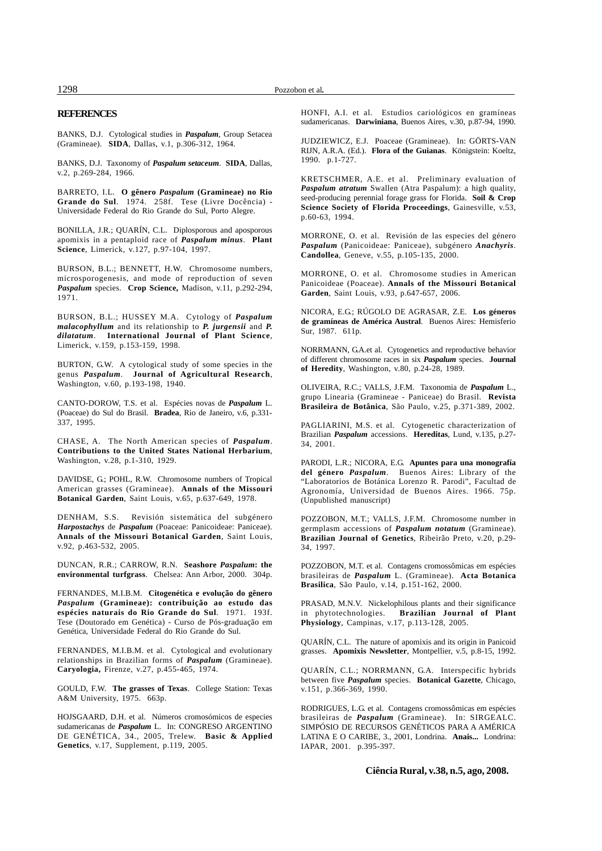#### **REFERENCES**

BANKS, D.J. Cytological studies in *Paspalum*, Group Setacea (Gramineae). **SIDA**, Dallas, v.1, p.306-312, 1964.

BANKS, D.J. Taxonomy of *Paspalum setaceum*. **SIDA**, Dallas, v.2, p.269-284, 1966.

BARRETO, I.L. **O gênero** *Paspalum* **(Gramineae) no Rio Grande do Sul**. 1974. 258f. Tese (Livre Docência) - Universidade Federal do Rio Grande do Sul, Porto Alegre.

BONILLA, J.R.; QUARÍN, C.L. Diplosporous and aposporous apomixis in a pentaploid race of *Paspalum minus*. **Plant Science**, Limerick, v.127, p.97-104, 1997.

BURSON, B.L.; BENNETT, H.W. Chromosome numbers, microsporogenesis, and mode of reproduction of seven *Paspalum* species. **Crop Science,** Madison, v.11, p.292-294, 1971.

BURSON, B.L.; HUSSEY M.A. Cytology of *Paspalum malacophyllum* and its relationship to *P. jurgensii* and *P. dilatatum*. **International Journal of Plant Science**, Limerick, v.159, p.153-159, 1998.

BURTON, G.W. A cytological study of some species in the genus *Paspalum*. **Journal of Agricultural Research**, Washington, v.60, p.193-198, 1940.

CANTO-DOROW, T.S. et al. Espécies novas de *Paspalum* L. (Poaceae) do Sul do Brasil. **Bradea**, Rio de Janeiro, v.6, p.331- 337, 1995.

CHASE, A. The North American species of *Paspalum*. **Contributions to the United States National Herbarium**, Washington, v.28, p.1-310, 1929.

DAVIDSE, G.; POHL, R.W. Chromosome numbers of Tropical American grasses (Gramineae). **Annals of the Missouri Botanical Garden**, Saint Louis, v.65, p.637-649, 1978.

DENHAM, S.S. Revisión sistemática del subgénero *Harpostachys* de *Paspalum* (Poaceae: Panicoideae: Paniceae). **Annals of the Missouri Botanical Garden**, Saint Louis, v.92, p.463-532, 2005.

DUNCAN, R.R.; CARROW, R.N. **Seashore** *Paspalum***: the environmental turfgrass**. Chelsea: Ann Arbor, 2000. 304p.

FERNANDES, M.I.B.M. **Citogenética e evolução do gênero** *Paspalum* **(Gramineae): contribuição ao estudo das espécies naturais do Rio Grande do Sul**. 1971. 193f. Tese (Doutorado em Genética) - Curso de Pós-graduação em Genética, Universidade Federal do Rio Grande do Sul.

FERNANDES, M.I.B.M. et al. Cytological and evolutionary relationships in Brazilian forms of *Paspalum* (Gramineae). **Caryologia,** Firenze, v.27, p.455-465, 1974.

GOULD, F.W. **The grasses of Texas**. College Station: Texas A&M University, 1975. 663p.

HOJSGAARD, D.H. et al. Números cromosómicos de especies sudamericanas de *Paspalum* L. In: CONGRESO ARGENTINO DE GENÉTICA, 34., 2005, Trelew. **Basic & Applied Genetics**, v.17, Supplement, p.119, 2005.

HONFI, A.I. et al. Estudios cariológicos en gramíneas sudamericanas. **Darwiniana**, Buenos Aires, v.30, p.87-94, 1990.

JUDZIEWICZ, E.J. Poaceae (Gramineae). In: GÖRTS-VAN RIJN, A.R.A. (Ed.). **Flora of the Guianas**. Königstein: Koeltz, 1990. p.1-727.

KRETSCHMER, A.E. et al. Preliminary evaluation of *Paspalum atratum* Swallen (Atra Paspalum): a high quality, seed-producing perennial forage grass for Florida. **Soil & Crop Science Society of Florida Proceedings**, Gainesville, v.53, p.60-63, 1994.

MORRONE, O. et al. Revisión de las especies del género *Paspalum* (Panicoideae: Paniceae), subgénero *Anachyris.* **Candollea**, Geneve, v.55, p.105-135, 2000.

MORRONE, O. et al. Chromosome studies in American Panicoideae (Poaceae). **Annals of the Missouri Botanical Garden**, Saint Louis, v.93, p.647-657, 2006.

NICORA, E.G.; RÚGOLO DE AGRASAR, Z.E. **Los géneros de gramíneas de América Austral**. Buenos Aires: Hemisferio Sur, 1987. 611p.

NORRMANN, G.A.et al. Cytogenetics and reproductive behavior of different chromosome races in six *Paspalum* species. **Journal of Heredity**, Washington, v.80, p.24-28, 1989.

OLIVEIRA, R.C.; VALLS, J.F.M. Taxonomia de *Paspalum* L., grupo Linearia (Gramineae - Paniceae) do Brasil. **Revista Brasileira de Botânica**, São Paulo, v.25, p.371-389, 2002.

PAGLIARINI, M.S. et al. Cytogenetic characterization of Brazilian *Paspalum* accessions. **Hereditas**, Lund, v.135, p.27- 34, 2001.

PARODI, L.R.; NICORA, E.G. **Apuntes para una monografía del género** *Paspalum*. Buenos Aires: Library of the "Laboratorios de Botánica Lorenzo R. Parodi", Facultad de Agronomía, Universidad de Buenos Aires. 1966. 75p. (Unpublished manuscript)

POZZOBON, M.T.; VALLS, J.F.M. Chromosome number in germplasm accessions of *Paspalum notatum* (Gramineae). **Brazilian Journal of Genetics**, Ribeirão Preto, v.20, p.29- 34, 1997.

POZZOBON, M.T. et al. Contagens cromossômicas em espécies brasileiras de *Paspalum* L. (Gramineae). **Acta Botanica Brasilica**, São Paulo, v.14, p.151-162, 2000.

PRASAD, M.N.V. Nickelophilous plants and their significance<br>in phytotechnologies. **Brazilian Journal of Plant** Brazilian Journal of Plant **Physiology**, Campinas, v.17, p.113-128, 2005.

QUARÍN, C.L. The nature of apomixis and its origin in Panicoid grasses. **Apomixis Newsletter**, Montpellier, v.5, p.8-15, 1992.

QUARÍN, C.L.; NORRMANN, G.A. Interspecific hybrids between five *Paspalum* species. **Botanical Gazette**, Chicago, v.151, p.366-369, 1990.

RODRIGUES, L.G. et al. Contagens cromossômicas em espécies brasileiras de *Paspalum* (Gramineae). In: SIRGEALC. SIMPÓSIO DE RECURSOS GENÉTICOS PARA A AMÉRICA LATINA E O CARIBE, 3., 2001, Londrina. **Anais...** Londrina: IAPAR, 2001. p.395-397.

**Ciência Rural, v.38, n.5, ago, 2008.**